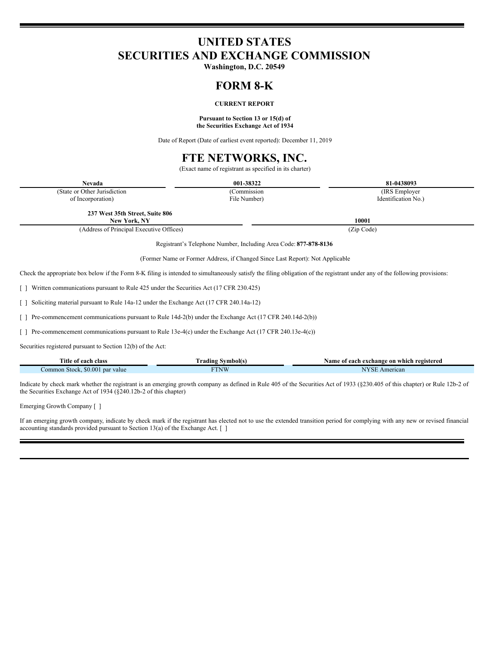## **UNITED STATES SECURITIES AND EXCHANGE COMMISSION**

**Washington, D.C. 20549**

### **FORM 8-K**

### **CURRENT REPORT**

#### **Pursuant to Section 13 or 15(d) of the Securities Exchange Act of 1934**

Date of Report (Date of earliest event reported): December 11, 2019

# **FTE NETWORKS, INC.**

(Exact name of registrant as specified in its charter)

| Nevada                                                                                                                                                                      | 001-38322    | 81-0438093          |  |  |
|-----------------------------------------------------------------------------------------------------------------------------------------------------------------------------|--------------|---------------------|--|--|
| (State or Other Jurisdiction                                                                                                                                                | (Commission  | (IRS Employer)      |  |  |
| of Incorporation)                                                                                                                                                           | File Number) | Identification No.) |  |  |
| 237 West 35th Street, Suite 806                                                                                                                                             |              |                     |  |  |
| New York, NY                                                                                                                                                                |              | 10001               |  |  |
| (Address of Principal Executive Offices)                                                                                                                                    |              | (Zip Code)          |  |  |
| Registrant's Telephone Number, Including Area Code: 877-878-8136                                                                                                            |              |                     |  |  |
| (Former Name or Former Address, if Changed Since Last Report): Not Applicable                                                                                               |              |                     |  |  |
| Check the appropriate box below if the Form 8-K filing is intended to simultaneously satisfy the filing obligation of the registrant under any of the following provisions: |              |                     |  |  |
| [] Written communications pursuant to Rule 425 under the Securities Act (17 CFR 230.425)                                                                                    |              |                     |  |  |
| [ ] Soliciting material pursuant to Rule 14a-12 under the Exchange Act (17 CFR 240.14a-12)                                                                                  |              |                     |  |  |
| [] Pre-commencement communications pursuant to Rule 14d-2(b) under the Exchange Act (17 CFR 240.14d-2(b))                                                                   |              |                     |  |  |
| [ ] Pre-commencement communications pursuant to Rule 13e-4(c) under the Exchange Act (17 CFR 240.13e-4(c))                                                                  |              |                     |  |  |
| Securities registered pursuant to Section 12(b) of the Act:                                                                                                                 |              |                     |  |  |

**Title of each class Trading Symbol(s) Name of each exchange on which registered** Common Stock, \$0.001 par value FTNW FTNW THE COMMON STOCK COMMON STOCK AMERICAN COMMON STOCK AMERICAN COMMON STOCK AMERICAN FOR A SUBSEX AMERICAN STOCK AND STOCK AMERICAN STOCK AND STOCK AMERICAN STOCK AND STOCK AND STOCK

Indicate by check mark whether the registrant is an emerging growth company as defined in Rule 405 of the Securities Act of 1933 (§230.405 of this chapter) or Rule 12b-2 of the Securities Exchange Act of 1934 (§240.12b-2 of this chapter)

Emerging Growth Company [ ]

If an emerging growth company, indicate by check mark if the registrant has elected not to use the extended transition period for complying with any new or revised financial accounting standards provided pursuant to Section 13(a) of the Exchange Act.  $\lceil$   $\rceil$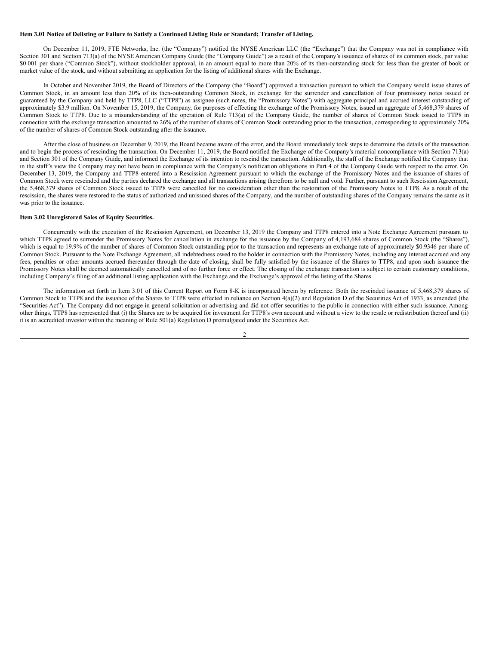#### Item 3.01 Notice of Delisting or Failure to Satisfy a Continued Listing Rule or Standard; Transfer of Listing.

On December 11, 2019, FTE Networks, Inc. (the "Company") notified the NYSE American LLC (the "Exchange") that the Company was not in compliance with Section 301 and Section 713(a) of the NYSE American Company Guide (the "Company Guide") as a result of the Company's issuance of shares of its common stock, par value \$0.001 per share ("Common Stock"), without stockholder approval, in an amount equal to more than 20% of its then-outstanding stock for less than the greater of book or market value of the stock, and without submitting an application for the listing of additional shares with the Exchange.

In October and November 2019, the Board of Directors of the Company (the "Board") approved a transaction pursuant to which the Company would issue shares of Common Stock, in an amount less than 20% of its then-outstanding Common Stock, in exchange for the surrender and cancellation of four promissory notes issued or guaranteed by the Company and held by TTP8, LLC ("TTP8") as assignee (such notes, the "Promissory Notes") with aggregate principal and accrued interest outstanding of approximately \$3.9 million. On November 15, 2019, the Company, for purposes of effecting the exchange of the Promissory Notes, issued an aggregate of 5,468,379 shares of Common Stock to TTP8. Due to a misunderstanding of the operation of Rule 713(a) of the Company Guide, the number of shares of Common Stock issued to TTP8 in connection with the exchange transaction amounted to 26% of the number of shares of Common Stock outstanding prior to the transaction, corresponding to approximately 20% of the number of shares of Common Stock outstanding after the issuance.

After the close of business on December 9, 2019, the Board became aware of the error, and the Board immediately took steps to determine the details of the transaction and to begin the process of rescinding the transaction. On December 11, 2019, the Board notified the Exchange of the Company's material noncompliance with Section 713(a) and Section 301 of the Company Guide, and informed the Exchange of its intention to rescind the transaction. Additionally, the staff of the Exchange notified the Company that in the staff's view the Company may not have been in compliance with the Company's notification obligations in Part 4 of the Company Guide with respect to the error. On December 13, 2019, the Company and TTP8 entered into a Rescission Agreement pursuant to which the exchange of the Promissory Notes and the issuance of shares of Common Stock were rescinded and the parties declared the exchange and all transactions arising therefrom to be null and void. Further, pursuant to such Rescission Agreement, the 5,468,379 shares of Common Stock issued to TTP8 were cancelled for no consideration other than the restoration of the Promissory Notes to TTP8. As a result of the rescission, the shares were restored to the status of authorized and unissued shares of the Company, and the number of outstanding shares of the Company remains the same as it was prior to the issuance.

#### **Item 3.02 Unregistered Sales of Equity Securities.**

Concurrently with the execution of the Rescission Agreement, on December 13, 2019 the Company and TTP8 entered into a Note Exchange Agreement pursuant to which TTP8 agreed to surrender the Promissory Notes for cancellation in exchange for the issuance by the Company of 4,193,684 shares of Common Stock (the "Shares"), which is equal to 19.9% of the number of shares of Common Stock outstanding prior to the transaction and represents an exchange rate of approximately \$0.9346 per share of Common Stock. Pursuant to the Note Exchange Agreement, all indebtedness owed to the holder in connection with the Promissory Notes, including any interest accrued and any fees, penalties or other amounts accrued thereunder through the date of closing, shall be fully satisfied by the issuance of the Shares to TTP8, and upon such issuance the Promissory Notes shall be deemed automatically cancelled and of no further force or effect. The closing of the exchange transaction is subject to certain customary conditions, including Company's filing of an additional listing application with the Exchange and the Exchange's approval of the listing of the Shares.

The information set forth in Item 3.01 of this Current Report on Form 8-K is incorporated herein by reference. Both the rescinded issuance of 5,468,379 shares of Common Stock to TTP8 and the issuance of the Shares to TTP8 were effected in reliance on Section 4(a)(2) and Regulation D of the Securities Act of 1933, as amended (the "Securities Act"). The Company did not engage in general solicitation or advertising and did not offer securities to the public in connection with either such issuance. Among other things, TTP8 has represented that (i) the Shares are to be acquired for investment for TTP8's own account and without a view to the resale or redistribution thereof and (ii) it is an accredited investor within the meaning of Rule 501(a) Regulation D promulgated under the Securities Act.

#### 2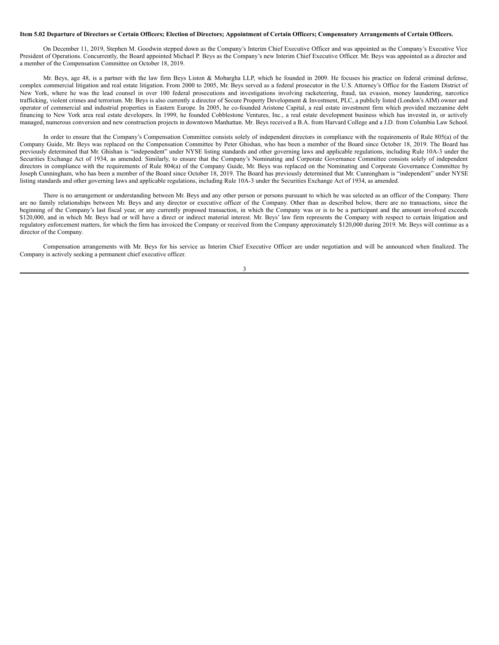#### Item 5.02 Departure of Directors or Certain Officers; Election of Directors; Appointment of Certain Officers; Compensatory Arrangements of Certain Officers.

On December 11, 2019, Stephen M. Goodwin stepped down as the Company's Interim Chief Executive Officer and was appointed as the Company's Executive Vice President of Operations. Concurrently, the Board appointed Michael P. Beys as the Company's new Interim Chief Executive Officer. Mr. Beys was appointed as a director and a member of the Compensation Committee on October 18, 2019.

Mr. Beys, age 48, is a partner with the law firm Beys Liston & Mobargha LLP, which he founded in 2009. He focuses his practice on federal criminal defense, complex commercial litigation and real estate litigation. From 2000 to 2005, Mr. Beys served as a federal prosecutor in the U.S. Attorney's Office for the Eastern District of New York, where he was the lead counsel in over 100 federal prosecutions and investigations involving racketeering, fraud, tax evasion, money laundering, narcotics trafficking, violent crimes and terrorism. Mr. Beys is also currently a director of Secure Property Development & Investment, PLC, a publicly listed (London's AIM) owner and operator of commercial and industrial properties in Eastern Europe. In 2005, he co-founded Aristone Capital, a real estate investment firm which provided mezzanine debt financing to New York area real estate developers. In 1999, he founded Cobblestone Ventures, Inc., a real estate development business which has invested in, or actively managed, numerous conversion and new construction projects in downtown Manhattan. Mr. Beys received a B.A. from Harvard College and a J.D. from Columbia Law School.

In order to ensure that the Company's Compensation Committee consists solely of independent directors in compliance with the requirements of Rule 805(a) of the Company Guide, Mr. Beys was replaced on the Compensation Committee by Peter Ghishan, who has been a member of the Board since October 18, 2019. The Board has previously determined that Mr. Ghishan is "independent" under NYSE listing standards and other governing laws and applicable regulations, including Rule 10A-3 under the Securities Exchange Act of 1934, as amended. Similarly, to ensure that the Company's Nominating and Corporate Governance Committee consists solely of independent directors in compliance with the requirements of Rule 804(a) of the Company Guide, Mr. Beys was replaced on the Nominating and Corporate Governance Committee by Joseph Cunningham, who has been a member of the Board since October 18, 2019. The Board has previously determined that Mr. Cunningham is "independent" under NYSE listing standards and other governing laws and applicable regulations, including Rule 10A-3 under the Securities Exchange Act of 1934, as amended.

There is no arrangement or understanding between Mr. Beys and any other person or persons pursuant to which he was selected as an officer of the Company. There are no family relationships between Mr. Beys and any director or executive officer of the Company. Other than as described below, there are no transactions, since the beginning of the Company's last fiscal year, or any currently proposed transaction, in which the Company was or is to be a participant and the amount involved exceeds \$120,000, and in which Mr. Beys had or will have a direct or indirect material interest. Mr. Beys' law firm represents the Company with respect to certain litigation and regulatory enforcement matters, for which the firm has invoiced the Company or received from the Company approximately \$120,000 during 2019. Mr. Beys will continue as a director of the Company.

Compensation arrangements with Mr. Beys for his service as Interim Chief Executive Officer are under negotiation and will be announced when finalized. The Company is actively seeking a permanent chief executive officer.

3